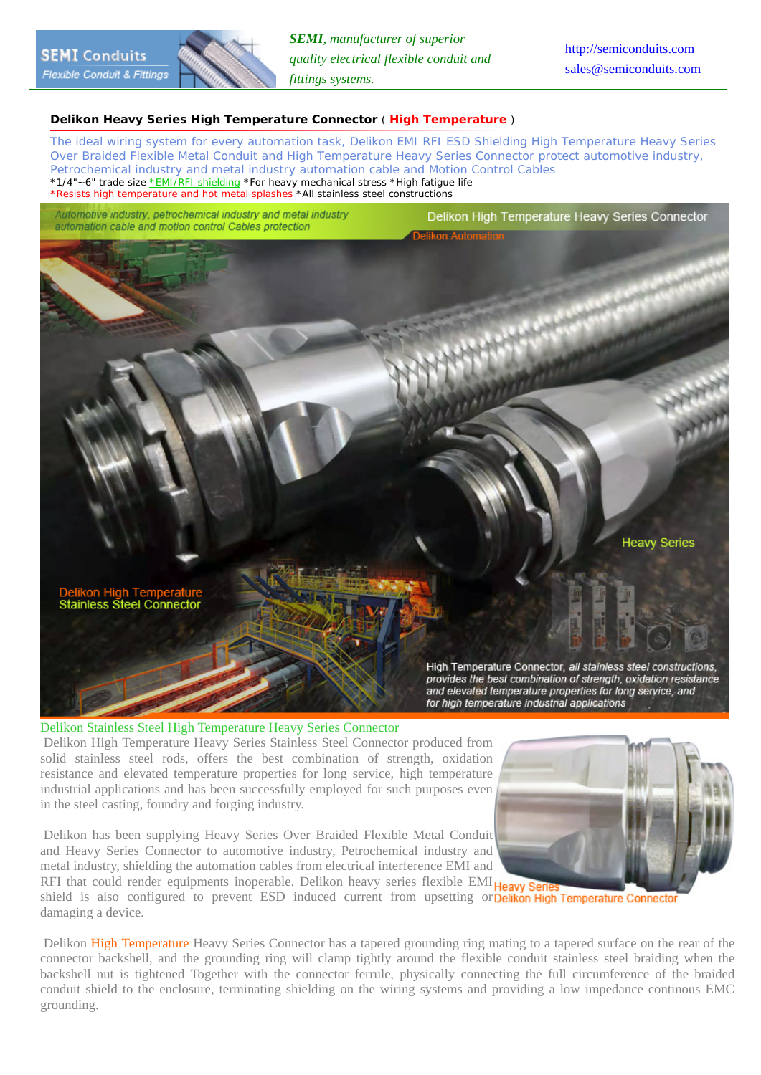

## **Delikon Heavy Series High Temperature Connector** ( **High Temperature** )

*The ideal wiring system for every automation task, Delikon EMI RFI ESD Shielding High Temperature Heavy Series Over Braided Flexible Metal Conduit and High Temperature Heavy Series Connector protect automotive industry, Petrochemical industry and metal industry automation cable and Motion Control Cables* \*1/4"~6" trade size \*EMI/RFI shielding \*For heavy mechanical stress \*High fatigue life \*Resists high temperature and hot metal splashes \*All stainless steel constructions

Automotive industry, petrochemical industry and metal industry automation cable and motion control Cables protection

Delikon High Temperature Heavy Series Connector



Delikon Stainless Steel High Temperature Heavy Series Connector Delikon High Temperature Heavy Series Stainless Steel Connector produced from solid stainless steel rods, offers the best combination of strength, oxidation resistance and elevated temperature properties for long service, high temperature industrial applications and has been successfully employed for such purposes even in the steel casting, foundry and forging industry.

 Delikon has been supplying Heavy Series Over Braided Flexible Metal Conduit and Heavy Series Connector to automotive industry, Petrochemical industry and metal industry, shielding the automation cables from electrical interference EMI and



RFI that could render equipments inoperable. Delikon heavy series flexible EMI **Heavy Ser** shield is also configured to prevent ESD induced current from upsetting or Delikon High Temperature Connector damaging a device.

 Delikon High Temperature Heavy Series Connector has a tapered grounding ring mating to a tapered surface on the rear of the connector backshell, and the grounding ring will clamp tightly around the flexible conduit stainless steel braiding when the backshell nut is tightened Together with the connector ferrule, physically connecting the full circumference of the braided conduit shield to the enclosure, terminating shielding on the wiring systems and providing a low impedance continous EMC grounding.